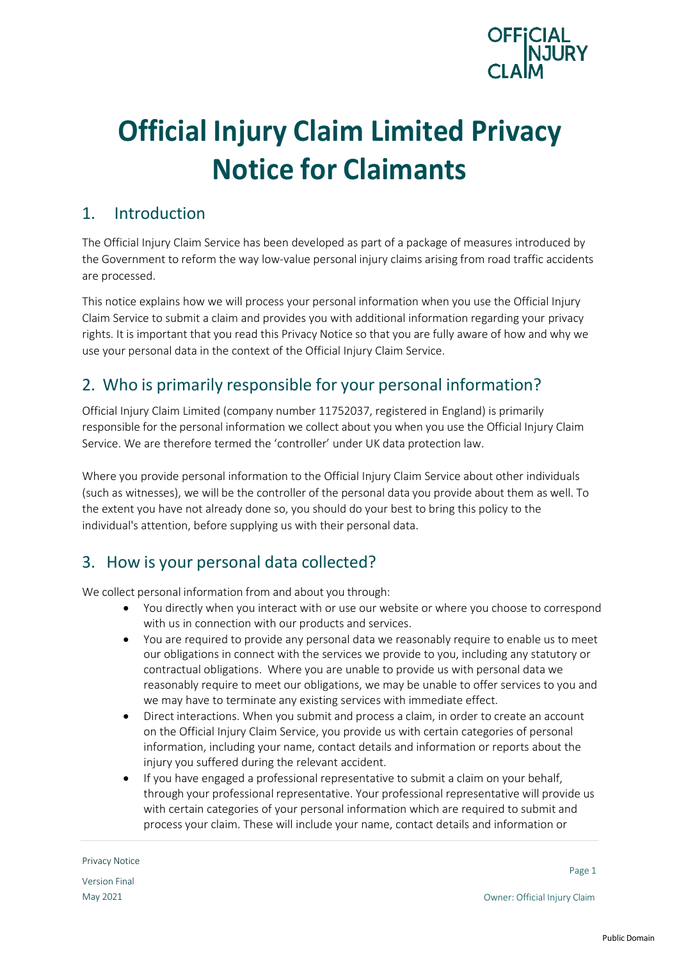

# **Official Injury Claim Limited Privacy Notice for Claimants**

#### 1. Introduction

The Official Injury Claim Service has been developed as part of a package of measures introduced by the Government to reform the way low-value personal injury claims arising from road traffic accidents are processed.

This notice explains how we will process your personal information when you use the Official Injury Claim Service to submit a claim and provides you with additional information regarding your privacy rights. It is important that you read this Privacy Notice so that you are fully aware of how and why we use your personal data in the context of the Official Injury Claim Service.

## 2. Who is primarily responsible for your personal information?

Official Injury Claim Limited (company number 11752037, registered in England) is primarily responsible for the personal information we collect about you when you use the Official Injury Claim Service. We are therefore termed the 'controller' under UK data protection law.

Where you provide personal information to the Official Injury Claim Service about other individuals (such as witnesses), we will be the controller of the personal data you provide about them as well. To the extent you have not already done so, you should do your best to bring this policy to the individual's attention, before supplying us with their personal data.

## 3. How is your personal data collected?

We collect personal information from and about you through:

- You directly when you interact with or use our website or where you choose to correspond with us in connection with our products and services.
- You are required to provide any personal data we reasonably require to enable us to meet our obligations in connect with the services we provide to you, including any statutory or contractual obligations. Where you are unable to provide us with personal data we reasonably require to meet our obligations, we may be unable to offer services to you and we may have to terminate any existing services with immediate effect.
- Direct interactions. When you submit and process a claim, in order to create an account on the Official Injury Claim Service, you provide us with certain categories of personal information, including your name, contact details and information or reports about the injury you suffered during the relevant accident.
- If you have engaged a professional representative to submit a claim on your behalf, through your professional representative. Your professional representative will provide us with certain categories of your personal information which are required to submit and process your claim. These will include your name, contact details and information or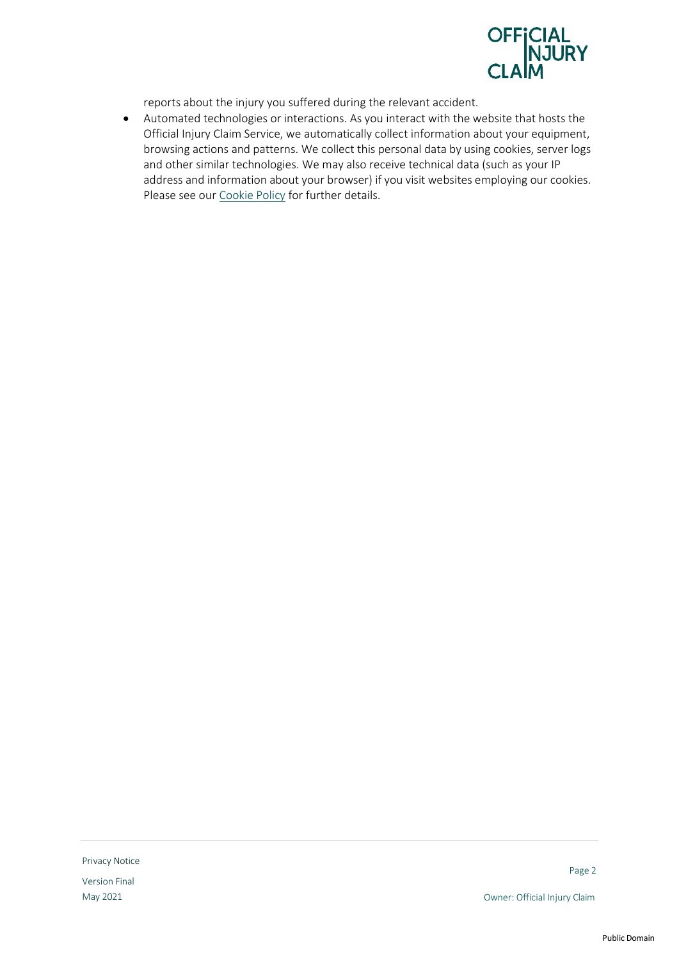

reports about the injury you suffered during the relevant accident.

• Automated technologies or interactions. As you interact with the website that hosts the Official Injury Claim Service, we automatically collect information about your equipment, browsing actions and patterns. We collect this personal data by using cookies, server logs and other similar technologies. We may also receive technical data (such as your IP address and information about your browser) if you visit websites employing our cookies. Please see our Cookie Policy for further details.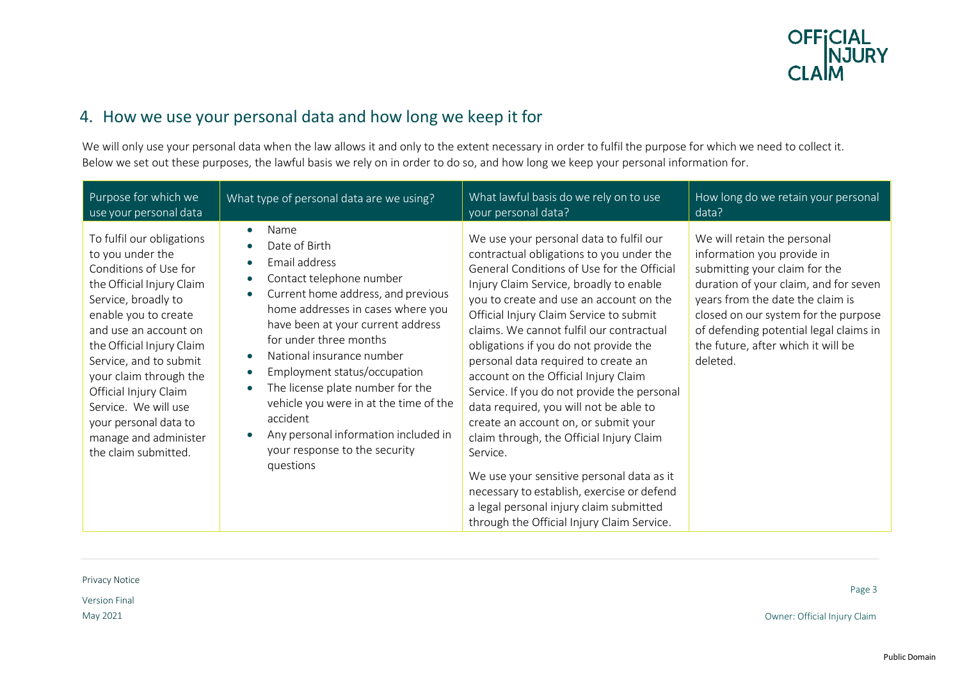

## 4. How we use your personal data and how long we keep it for

We will only use your personal data when the law allows it and only to the extent necessary in order to fulfil the purpose for which we need to collect it. Below we set out these purposes, the lawful basis we rely on in order to do so, and how long we keep your personal information for.

| Purpose for which we                                                                                                                                                                                                                                                                                                                                                                    | What type of personal data are we using?                                                                                                                                                                                                                                                                                                                                                                                                                                                                      | What lawful basis do we rely on to use                                                                                                                                                                                                                                                                                                                                                                                                                                                                                                                                                                                                                                                                                                                                                                              | How long do we retain your personal                                                                                                                                                                                                                                                                         |
|-----------------------------------------------------------------------------------------------------------------------------------------------------------------------------------------------------------------------------------------------------------------------------------------------------------------------------------------------------------------------------------------|---------------------------------------------------------------------------------------------------------------------------------------------------------------------------------------------------------------------------------------------------------------------------------------------------------------------------------------------------------------------------------------------------------------------------------------------------------------------------------------------------------------|---------------------------------------------------------------------------------------------------------------------------------------------------------------------------------------------------------------------------------------------------------------------------------------------------------------------------------------------------------------------------------------------------------------------------------------------------------------------------------------------------------------------------------------------------------------------------------------------------------------------------------------------------------------------------------------------------------------------------------------------------------------------------------------------------------------------|-------------------------------------------------------------------------------------------------------------------------------------------------------------------------------------------------------------------------------------------------------------------------------------------------------------|
| use your personal data                                                                                                                                                                                                                                                                                                                                                                  |                                                                                                                                                                                                                                                                                                                                                                                                                                                                                                               | your personal data?                                                                                                                                                                                                                                                                                                                                                                                                                                                                                                                                                                                                                                                                                                                                                                                                 | data?                                                                                                                                                                                                                                                                                                       |
| To fulfil our obligations<br>to you under the<br>Conditions of Use for<br>the Official Injury Claim<br>Service, broadly to<br>enable you to create<br>and use an account on<br>the Official Injury Claim<br>Service, and to submit<br>your claim through the<br>Official Injury Claim<br>Service. We will use<br>your personal data to<br>manage and administer<br>the claim submitted. | Name<br>$\bullet$<br>Date of Birth<br>Email address<br>Contact telephone number<br>$\bullet$<br>Current home address, and previous<br>home addresses in cases where you<br>have been at your current address<br>for under three months<br>National insurance number<br>Employment status/occupation<br>$\bullet$<br>The license plate number for the<br>$\bullet$<br>vehicle you were in at the time of the<br>accident<br>Any personal information included in<br>your response to the security<br>questions | We use your personal data to fulfil our<br>contractual obligations to you under the<br>General Conditions of Use for the Official<br>Injury Claim Service, broadly to enable<br>you to create and use an account on the<br>Official Injury Claim Service to submit<br>claims. We cannot fulfil our contractual<br>obligations if you do not provide the<br>personal data required to create an<br>account on the Official Injury Claim<br>Service. If you do not provide the personal<br>data required, you will not be able to<br>create an account on, or submit your<br>claim through, the Official Injury Claim<br>Service.<br>We use your sensitive personal data as it<br>necessary to establish, exercise or defend<br>a legal personal injury claim submitted<br>through the Official Injury Claim Service. | We will retain the personal<br>information you provide in<br>submitting your claim for the<br>duration of your claim, and for seven<br>years from the date the claim is<br>closed on our system for the purpose<br>of defending potential legal claims in<br>the future, after which it will be<br>deleted. |

Privacy Notice

Version Final

Page 3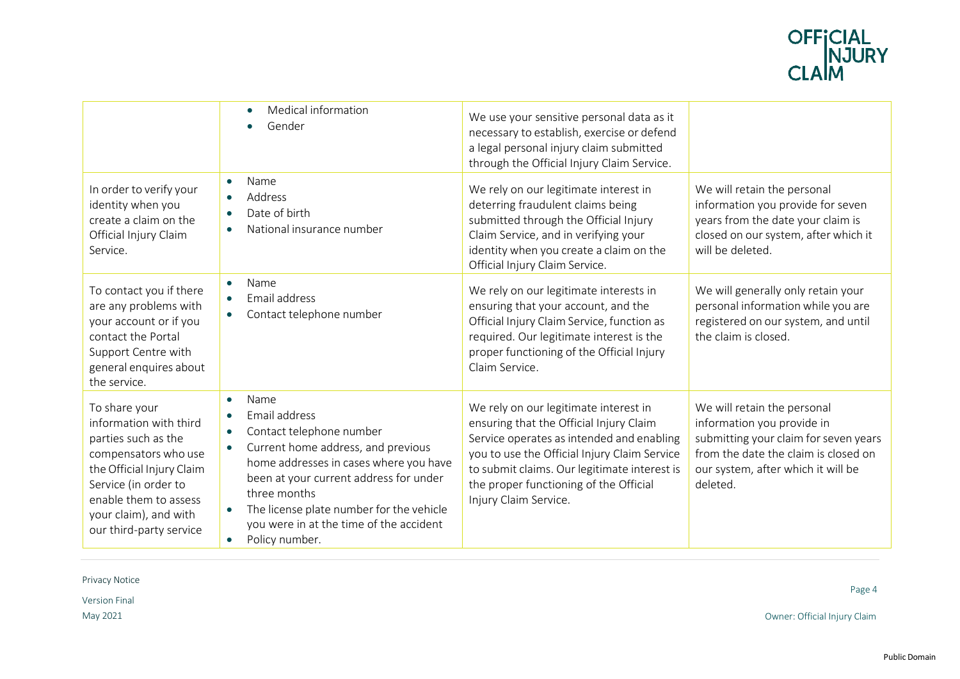

|                                                                                                                                                                                                                          | Medical information<br>$\bullet$<br>Gender<br>$\bullet$                                                                                                                                                                                                                                                                                                  | We use your sensitive personal data as it<br>necessary to establish, exercise or defend<br>a legal personal injury claim submitted<br>through the Official Injury Claim Service.                                                                                                                 |                                                                                                                                                                                              |
|--------------------------------------------------------------------------------------------------------------------------------------------------------------------------------------------------------------------------|----------------------------------------------------------------------------------------------------------------------------------------------------------------------------------------------------------------------------------------------------------------------------------------------------------------------------------------------------------|--------------------------------------------------------------------------------------------------------------------------------------------------------------------------------------------------------------------------------------------------------------------------------------------------|----------------------------------------------------------------------------------------------------------------------------------------------------------------------------------------------|
| In order to verify your<br>identity when you<br>create a claim on the<br>Official Injury Claim<br>Service.                                                                                                               | Name<br>$\bullet$<br>Address<br>$\bullet$<br>Date of birth<br>$\bullet$<br>National insurance number<br>$\bullet$                                                                                                                                                                                                                                        | We rely on our legitimate interest in<br>deterring fraudulent claims being<br>submitted through the Official Injury<br>Claim Service, and in verifying your<br>identity when you create a claim on the<br>Official Injury Claim Service.                                                         | We will retain the personal<br>information you provide for seven<br>years from the date your claim is<br>closed on our system, after which it<br>will be deleted.                            |
| To contact you if there<br>are any problems with<br>your account or if you<br>contact the Portal<br>Support Centre with<br>general enquires about<br>the service.                                                        | Name<br>$\bullet$<br>Email address<br>Contact telephone number<br>$\bullet$                                                                                                                                                                                                                                                                              | We rely on our legitimate interests in<br>ensuring that your account, and the<br>Official Injury Claim Service, function as<br>required. Our legitimate interest is the<br>proper functioning of the Official Injury<br>Claim Service.                                                           | We will generally only retain your<br>personal information while you are<br>registered on our system, and until<br>the claim is closed.                                                      |
| To share your<br>information with third<br>parties such as the<br>compensators who use<br>the Official Injury Claim<br>Service (in order to<br>enable them to assess<br>your claim), and with<br>our third-party service | Name<br>$\bullet$<br>Email address<br>$\bullet$<br>Contact telephone number<br>$\bullet$<br>Current home address, and previous<br>$\bullet$<br>home addresses in cases where you have<br>been at your current address for under<br>three months<br>The license plate number for the vehicle<br>you were in at the time of the accident<br>Policy number. | We rely on our legitimate interest in<br>ensuring that the Official Injury Claim<br>Service operates as intended and enabling<br>you to use the Official Injury Claim Service<br>to submit claims. Our legitimate interest is<br>the proper functioning of the Official<br>Injury Claim Service. | We will retain the personal<br>information you provide in<br>submitting your claim for seven years<br>from the date the claim is closed on<br>our system, after which it will be<br>deleted. |

Privacy Notice

Version Final

Page 4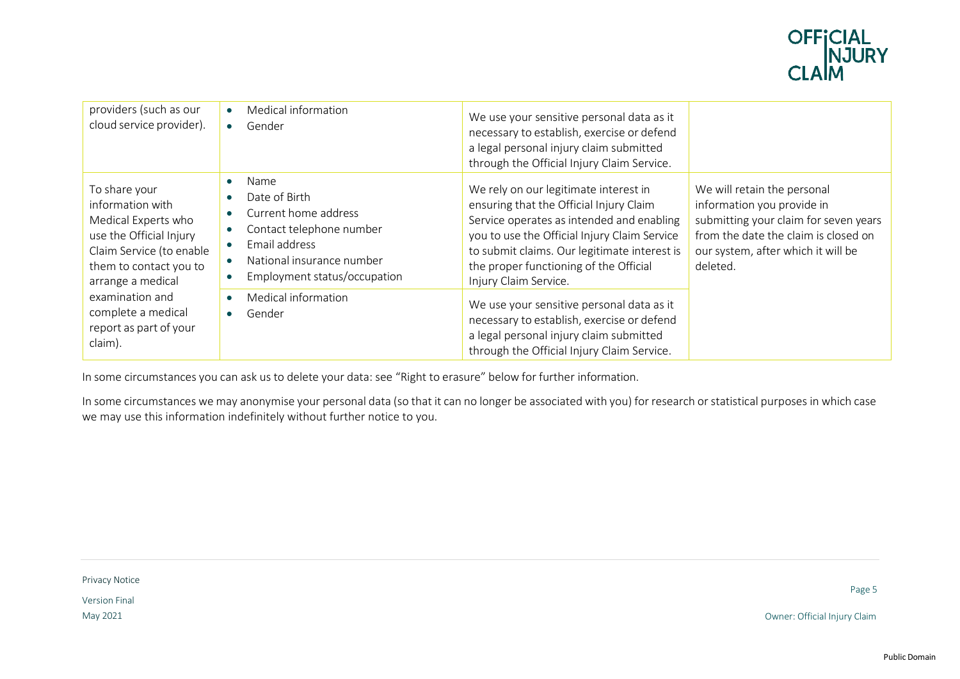

| providers (such as our<br>cloud service provider).                                                                                                                                                                                           | $\bullet$<br>$\bullet$                                                     | Medical information<br>Gender                                                                                                                                                            | We use your sensitive personal data as it<br>necessary to establish, exercise or defend<br>a legal personal injury claim submitted<br>through the Official Injury Claim Service.                                                                                                                                                                                                            |                                                                                                                                                                                              |
|----------------------------------------------------------------------------------------------------------------------------------------------------------------------------------------------------------------------------------------------|----------------------------------------------------------------------------|------------------------------------------------------------------------------------------------------------------------------------------------------------------------------------------|---------------------------------------------------------------------------------------------------------------------------------------------------------------------------------------------------------------------------------------------------------------------------------------------------------------------------------------------------------------------------------------------|----------------------------------------------------------------------------------------------------------------------------------------------------------------------------------------------|
| To share your<br>information with<br>Medical Experts who<br>use the Official Injury<br>Claim Service (to enable<br>them to contact you to<br>arrange a medical<br>examination and<br>complete a medical<br>report as part of your<br>claim). | $\bullet$<br>$\bullet$<br>$\bullet$<br>$\bullet$<br>$\bullet$<br>$\bullet$ | Name<br>Date of Birth<br>Current home address<br>Contact telephone number<br>Email address<br>National insurance number<br>Employment status/occupation<br>Medical information<br>Gender | We rely on our legitimate interest in<br>ensuring that the Official Injury Claim<br>Service operates as intended and enabling<br>you to use the Official Injury Claim Service<br>to submit claims. Our legitimate interest is<br>the proper functioning of the Official<br>Injury Claim Service.<br>We use your sensitive personal data as it<br>necessary to establish, exercise or defend | We will retain the personal<br>information you provide in<br>submitting your claim for seven years<br>from the date the claim is closed on<br>our system, after which it will be<br>deleted. |
|                                                                                                                                                                                                                                              |                                                                            | a legal personal injury claim submitted<br>through the Official Injury Claim Service.                                                                                                    |                                                                                                                                                                                                                                                                                                                                                                                             |                                                                                                                                                                                              |

In some circumstances you can ask us to delete your data: see "Right to erasure" below for further information.

In some circumstances we may anonymise your personal data (so that it can no longer be associated with you) for research or statistical purposes in which case we may use this information indefinitely without further notice to you.

Privacy Notice

Version Final

Page 5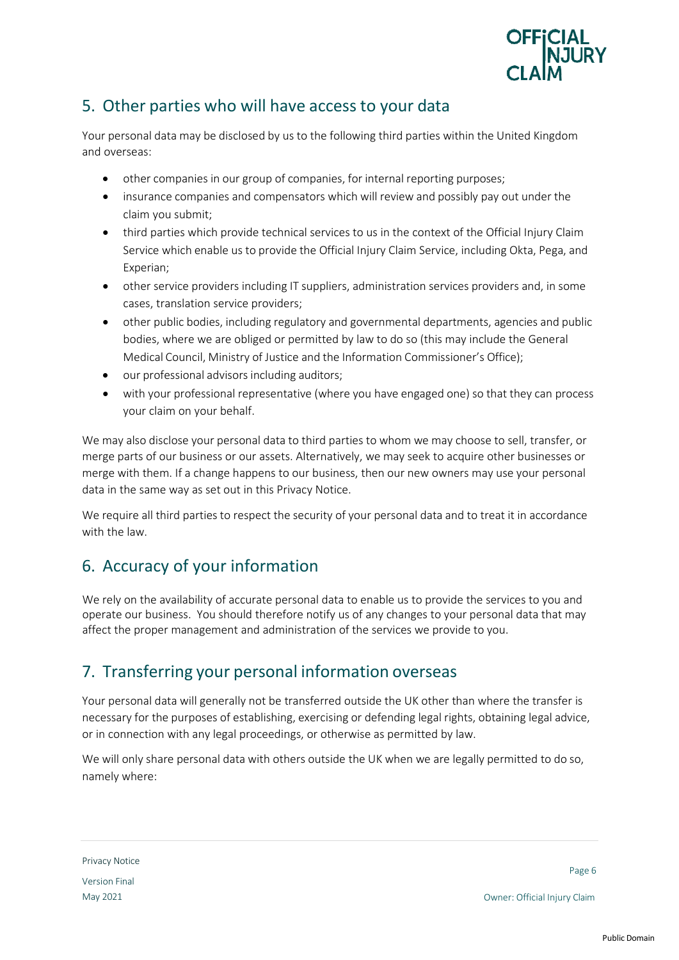

#### 5. Other parties who will have access to your data

Your personal data may be disclosed by us to the following third parties within the United Kingdom and overseas:

- other companies in our group of companies, for internal reporting purposes;
- insurance companies and compensators which will review and possibly pay out under the claim you submit;
- third parties which provide technical services to us in the context of the Official Injury Claim Service which enable us to provide the Official Injury Claim Service, including Okta, Pega, and Experian;
- other service providers including IT suppliers, administration services providers and, in some cases, translation service providers;
- other public bodies, including regulatory and governmental departments, agencies and public bodies, where we are obliged or permitted by law to do so (this may include the General Medical Council, Ministry of Justice and the Information Commissioner's Office);
- our professional advisors including auditors;
- with your professional representative (where you have engaged one) so that they can process your claim on your behalf.

We may also disclose your personal data to third parties to whom we may choose to sell, transfer, or merge parts of our business or our assets. Alternatively, we may seek to acquire other businesses or merge with them. If a change happens to our business, then our new owners may use your personal data in the same way as set out in this Privacy Notice.

We require all third parties to respect the security of your personal data and to treat it in accordance with the law.

## 6. Accuracy of your information

We rely on the availability of accurate personal data to enable us to provide the services to you and operate our business. You should therefore notify us of any changes to your personal data that may affect the proper management and administration of the services we provide to you.

## 7. Transferring your personal information overseas

Your personal data will generally not be transferred outside the UK other than where the transfer is necessary for the purposes of establishing, exercising or defending legal rights, obtaining legal advice, or in connection with any legal proceedings, or otherwise as permitted by law.

We will only share personal data with others outside the UK when we are legally permitted to do so, namely where: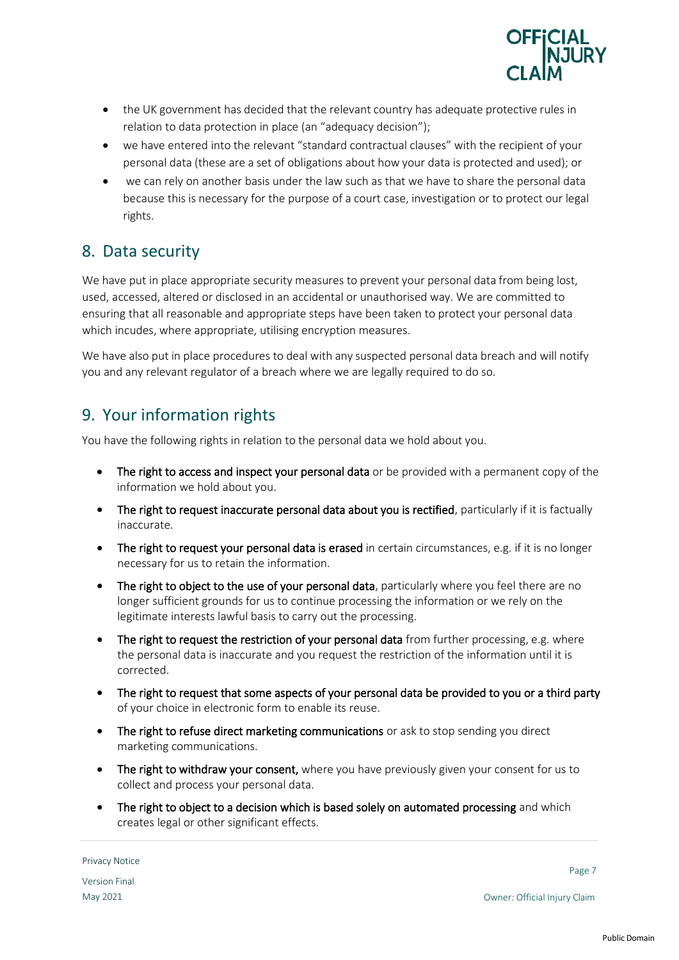

- the UK government has decided that the relevant country has adequate protective rules in relation to data protection in place (an "adequacy decision");
- we have entered into the relevant "standard contractual clauses" with the recipient of your personal data (these are a set of obligations about how your data is protected and used); or
- we can rely on another basis under the law such as that we have to share the personal data because this is necessary for the purpose of a court case, investigation or to protect our legal rights.

#### 8. Data security

We have put in place appropriate security measures to prevent your personal data from being lost, used, accessed, altered or disclosed in an accidental or unauthorised way. We are committed to ensuring that all reasonable and appropriate steps have been taken to protect your personal data which incudes, where appropriate, utilising encryption measures.

We have also put in place procedures to deal with any suspected personal data breach and will notify you and any relevant regulator of a breach where we are legally required to do so.

## 9. Your information rights

You have the following rights in relation to the personal data we hold about you.

- The right to access and inspect your personal data or be provided with a permanent copy of the information we hold about you.
- The right to request inaccurate personal data about you is rectified, particularly if it is factually inaccurate.
- The right to request your personal data is erased in certain circumstances, e.g. if it is no longer necessary for us to retain the information.
- The right to object to the use of your personal data, particularly where you feel there are no longer sufficient grounds for us to continue processing the information or we rely on the legitimate interests lawful basis to carry out the processing.
- The right to request the restriction of your personal data from further processing, e.g. where the personal data is inaccurate and you request the restriction of the information until it is corrected.
- The right to request that some aspects of your personal data be provided to you or a third party of your choice in electronic form to enable its reuse.
- The right to refuse direct marketing communications or ask to stop sending you direct marketing communications.
- The right to withdraw your consent, where you have previously given your consent for us to collect and process your personal data.
- The right to object to a decision which is based solely on automated processing and which creates legal or other significant effects.

Privacy Notice Version Final

Page 7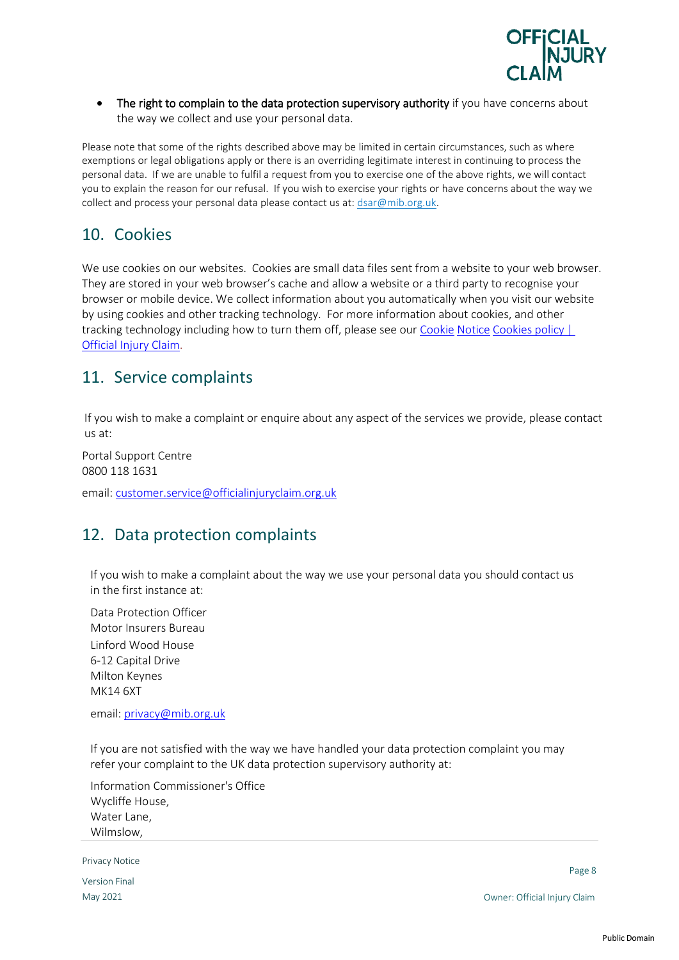

• The right to complain to the data protection supervisory authority if you have concerns about the way we collect and use your personal data.

Please note that some of the rights described above may be limited in certain circumstances, such as where exemptions or legal obligations apply or there is an overriding legitimate interest in continuing to process the personal data. If we are unable to fulfil a request from you to exercise one of the above rights, we will contact you to explain the reason for our refusal. If you wish to exercise your rights or have concerns about the way we collect and process your personal data please contact us at: dsar@mib.org.uk.

#### 10. Cookies

We use cookies on our websites. Cookies are small data files sent from a website to your web browser. They are stored in your web browser's cache and allow a website or a third party to recognise your browser or mobile device. We collect information about you automatically when you visit our website by using cookies and other tracking technology. For more information about cookies, and other tracking technology including how to turn them off, please see our Cookie Notice [Cookies policy |](https://www.officialinjuryclaim.org.uk/cookies-policy/)  [Official Injury Claim.](https://www.officialinjuryclaim.org.uk/cookies-policy/)

#### 11. Service complaints

If you wish to make a complaint or enquire about any aspect of the services we provide, please contact us at:

 Portal Support Centre 0800 118 1631

email[: customer.service@officialinjuryclaim.org.uk](mailto:customer.service@officialinjuryclaim.org.uk)

#### 12. Data protection complaints

If you wish to make a complaint about the way we use your personal data you should contact us in the first instance at:

Data Protection Officer Motor Insurers Bureau Linford Wood House 6-12 Capital Drive Milton Keynes MK14 6XT

email: [privacy@mib.org.uk](mailto:privacy@mib.org.uk)

If you are not satisfied with the way we have handled your data protection complaint you may refer your complaint to the UK data protection supervisory authority at:

Information Commissioner's Office Wycliffe House, Water Lane, Wilmslow,

Privacy Notice

Version Final

Page 8